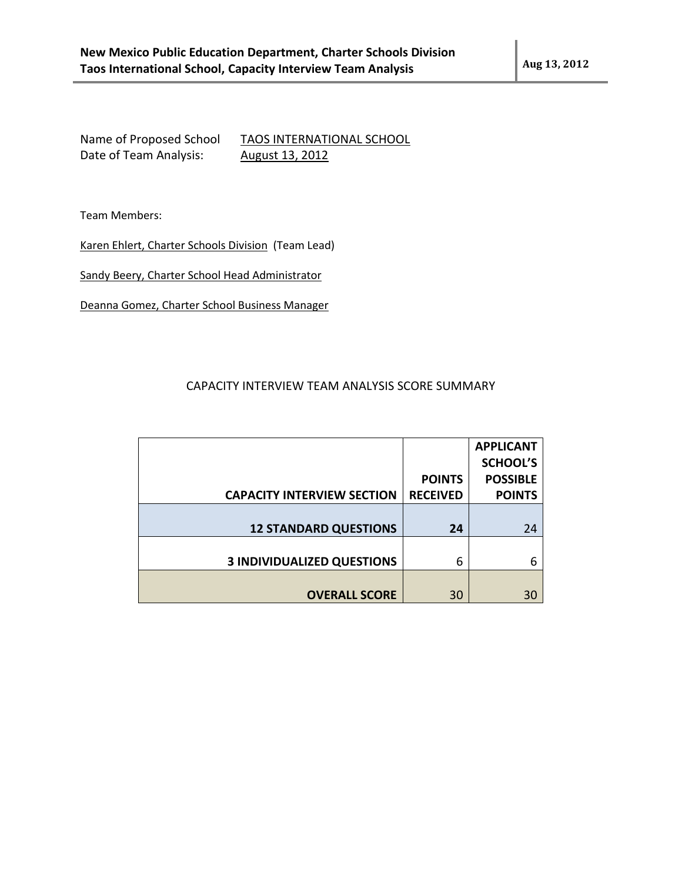Name of Proposed School TAOS INTERNATIONAL SCHOOL Date of Team Analysis: August 13, 2012

Team Members:

Karen Ehlert, Charter Schools Division (Team Lead)

Sandy Beery, Charter School Head Administrator

Deanna Gomez, Charter School Business Manager

## CAPACITY INTERVIEW TEAM ANALYSIS SCORE SUMMARY

|                                   |                 | <b>APPLICANT</b> |
|-----------------------------------|-----------------|------------------|
|                                   |                 | <b>SCHOOL'S</b>  |
|                                   | <b>POINTS</b>   | <b>POSSIBLE</b>  |
| <b>CAPACITY INTERVIEW SECTION</b> | <b>RECEIVED</b> | <b>POINTS</b>    |
|                                   |                 |                  |
| <b>12 STANDARD QUESTIONS</b>      | 24              | 24               |
|                                   |                 |                  |
| <b>3 INDIVIDUALIZED QUESTIONS</b> | 6               | 6                |
|                                   |                 |                  |
| <b>OVERALL SCORE</b>              | 30              | 30               |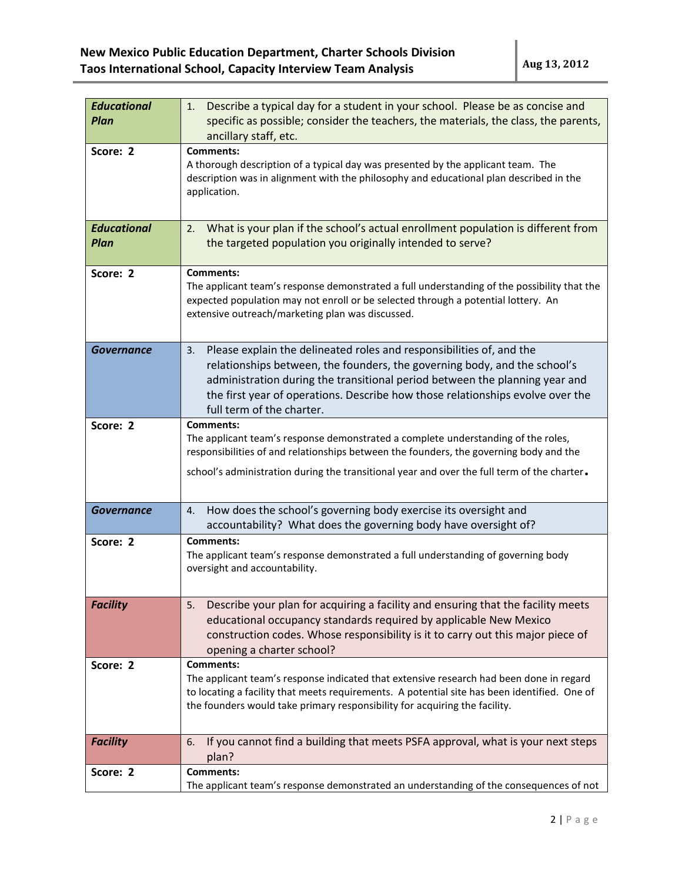| <b>Educational</b>                | Describe a typical day for a student in your school. Please be as concise and<br>1.                                                                                                                                                                                                                                                                   |
|-----------------------------------|-------------------------------------------------------------------------------------------------------------------------------------------------------------------------------------------------------------------------------------------------------------------------------------------------------------------------------------------------------|
| <b>Plan</b>                       | specific as possible; consider the teachers, the materials, the class, the parents,<br>ancillary staff, etc.                                                                                                                                                                                                                                          |
| Score: 2                          | <b>Comments:</b><br>A thorough description of a typical day was presented by the applicant team. The<br>description was in alignment with the philosophy and educational plan described in the<br>application.                                                                                                                                        |
| <b>Educational</b><br><b>Plan</b> | What is your plan if the school's actual enrollment population is different from<br>2.<br>the targeted population you originally intended to serve?                                                                                                                                                                                                   |
| Score: 2                          | <b>Comments:</b><br>The applicant team's response demonstrated a full understanding of the possibility that the<br>expected population may not enroll or be selected through a potential lottery. An<br>extensive outreach/marketing plan was discussed.                                                                                              |
| Governance                        | Please explain the delineated roles and responsibilities of, and the<br>3.<br>relationships between, the founders, the governing body, and the school's<br>administration during the transitional period between the planning year and<br>the first year of operations. Describe how those relationships evolve over the<br>full term of the charter. |
| Score: 2                          | <b>Comments:</b><br>The applicant team's response demonstrated a complete understanding of the roles,<br>responsibilities of and relationships between the founders, the governing body and the<br>school's administration during the transitional year and over the full term of the charter.                                                        |
| <b>Governance</b>                 | How does the school's governing body exercise its oversight and<br>4.<br>accountability? What does the governing body have oversight of?                                                                                                                                                                                                              |
| Score: 2                          | <b>Comments:</b><br>The applicant team's response demonstrated a full understanding of governing body<br>oversight and accountability.                                                                                                                                                                                                                |
| <b>Facility</b>                   | Describe your plan for acquiring a facility and ensuring that the facility meets<br>5.<br>educational occupancy standards required by applicable New Mexico<br>construction codes. Whose responsibility is it to carry out this major piece of<br>opening a charter school?                                                                           |
| Score: 2                          | <b>Comments:</b><br>The applicant team's response indicated that extensive research had been done in regard<br>to locating a facility that meets requirements. A potential site has been identified. One of<br>the founders would take primary responsibility for acquiring the facility.                                                             |
| <b>Facility</b>                   | If you cannot find a building that meets PSFA approval, what is your next steps<br>6.<br>plan?                                                                                                                                                                                                                                                        |
| Score: 2                          | <b>Comments:</b><br>The applicant team's response demonstrated an understanding of the consequences of not                                                                                                                                                                                                                                            |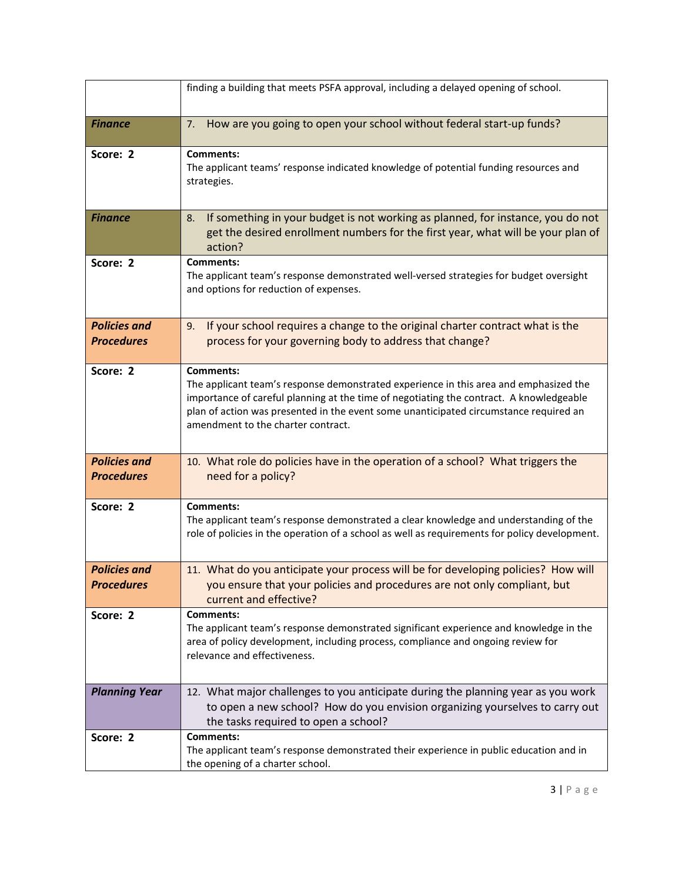|                                          | finding a building that meets PSFA approval, including a delayed opening of school.                                                                                                                                                                                                                                                 |
|------------------------------------------|-------------------------------------------------------------------------------------------------------------------------------------------------------------------------------------------------------------------------------------------------------------------------------------------------------------------------------------|
| <b>Finance</b>                           | How are you going to open your school without federal start-up funds?<br>7.                                                                                                                                                                                                                                                         |
| Score: 2                                 | <b>Comments:</b><br>The applicant teams' response indicated knowledge of potential funding resources and<br>strategies.                                                                                                                                                                                                             |
| <b>Finance</b>                           | If something in your budget is not working as planned, for instance, you do not<br>8.<br>get the desired enrollment numbers for the first year, what will be your plan of<br>action?                                                                                                                                                |
| Score: 2                                 | <b>Comments:</b><br>The applicant team's response demonstrated well-versed strategies for budget oversight<br>and options for reduction of expenses.                                                                                                                                                                                |
| <b>Policies and</b><br><b>Procedures</b> | If your school requires a change to the original charter contract what is the<br>9.<br>process for your governing body to address that change?                                                                                                                                                                                      |
| Score: 2                                 | <b>Comments:</b><br>The applicant team's response demonstrated experience in this area and emphasized the<br>importance of careful planning at the time of negotiating the contract. A knowledgeable<br>plan of action was presented in the event some unanticipated circumstance required an<br>amendment to the charter contract. |
| <b>Policies and</b><br><b>Procedures</b> | 10. What role do policies have in the operation of a school? What triggers the<br>need for a policy?                                                                                                                                                                                                                                |
| Score: 2                                 | <b>Comments:</b><br>The applicant team's response demonstrated a clear knowledge and understanding of the<br>role of policies in the operation of a school as well as requirements for policy development.                                                                                                                          |
| <b>Policies and</b><br><b>Procedures</b> | 11. What do you anticipate your process will be for developing policies? How will<br>you ensure that your policies and procedures are not only compliant, but<br>current and effective?                                                                                                                                             |
| Score: 2                                 | <b>Comments:</b><br>The applicant team's response demonstrated significant experience and knowledge in the<br>area of policy development, including process, compliance and ongoing review for<br>relevance and effectiveness.                                                                                                      |
| <b>Planning Year</b>                     | 12. What major challenges to you anticipate during the planning year as you work<br>to open a new school? How do you envision organizing yourselves to carry out<br>the tasks required to open a school?                                                                                                                            |
| Score: 2                                 | <b>Comments:</b><br>The applicant team's response demonstrated their experience in public education and in<br>the opening of a charter school.                                                                                                                                                                                      |